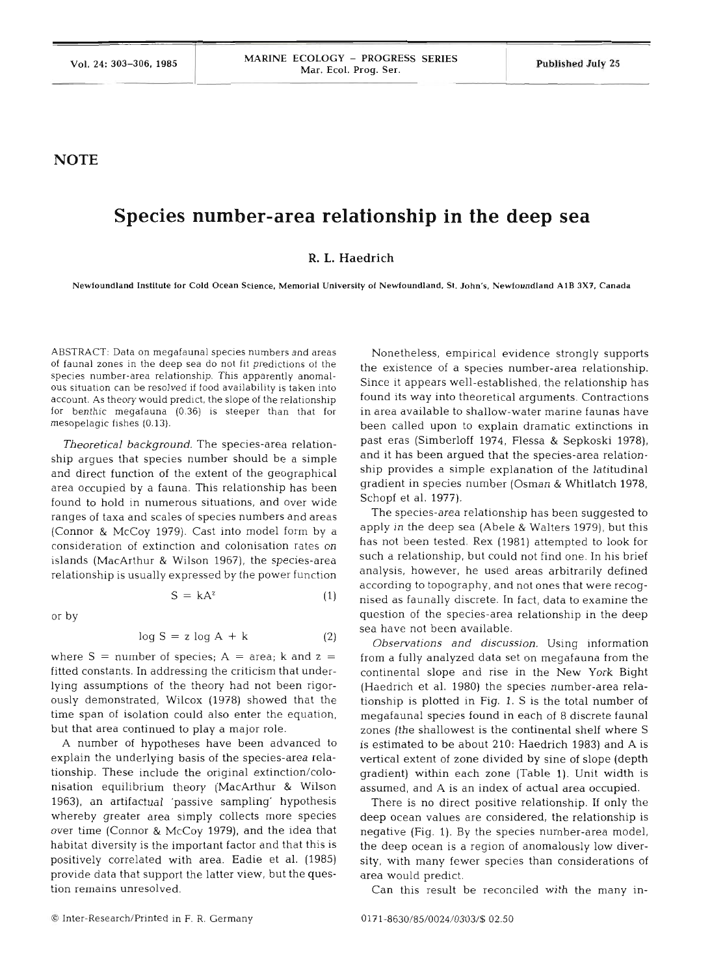## **NOTE**

## **Species number-area relationship in the deep sea**

## **R. L. Haedrich**

**Newfoundland Institute for Cold Ocean Science, Memorial University of Newfoundland. St. John's, Newfoundland AlB 3x7, Canada** 

ABSTRACT: Data on megafaunal species numbers and areas of faunal zones in the deep sea do not fit predictions of the species number-area relationship. This apparently anomalous situation can be resolved if food availability is taken into account. **As** theory would predict, the slope of the relationship for benthic megafauna (0.36) is steeper than that for mesopelagic fishes (0.13).

*Theoretical background.* The species-area relationship argues that species number should be a simple and direct function of the extent of the geographical area occupied by a fauna. This relationship has been found to hold in numerous situations, and over wide ranges of taxa and scales of species numbers and areas (Connor & McCoy 1979). Cast into model form by a consideration of extinction and colonisation rates on islands (MacArthur & Wilson 1967), the species-area relationship is usually expressed by the power function

> $S = kA^z$  $(1)$

or by

$$
\log S = z \log A + k \tag{2}
$$

where  $S =$  number of species;  $A =$  area; k and  $z =$ fitted constants. In addressing the criticism that underlying assumptions of the theory had not been rigorously demonstrated, Wilcox (1978) showed that the time span of isolation could also enter the equation, but that area continued to play a major role.

**A** number of hypotheses have been advanced to explain the underlying basis of the species-area relationship. These include the original extinction/colonisation equilibrium theory (MacArthur & Wilson 1963), an artifactual 'passive sampling' hypothesis whereby greater area simply collects more species over time (Connor & McCoy 1979), and the idea that habitat diversity is the important factor and that this is positively correlated with area. Eadie et al. (1985) provide data that support the latter view, but the question remains unresolved.

Nonetheless, empirical evidence strongly supports the existence of a species number-area relationship. Since it appears well-established, the relationship has found its way into theoretical arguments. Contractions in area available to shallow-water marine faunas have been called upon to explain dramatic extinctions in past eras (Simberloff 1974, Flessa & Sepkoski 1978), and it has been argued that the species-area relationship provides a simple explanation of the latitudinal gradient in species number (Osman & Whitlatch 1978, Schopf et al. 1977).

The species-area relationship has been suggested to apply in the deep sea (Abele & Walters 1979), but this has not been tested. Rex (1981) attempted to look for such a relationship, but could not find one. In his brief analysis, however, he used areas arbitrarily defined according to topography, and not ones that were recognised as faunally discrete. In fact, data to examine the question of the species-area relationship in the deep sea have not been available.

*Observations and discussion.* Using information from a fully analyzed data set on megafauna from the continental slope and rise in the New York Bight (Haedrich et al. 1980) the species number-area relationship is plotted in Fig. 1. S is the total number of megafaunal species found in each of 8 discrete faunal zones (the shallowest is the continental shelf where S is estimated to be about 210: Haedrich 1983) and A is vertical extent of zone divided by sine of slope (depth gradient) within each zone (Table 1). Unit width is assumed, and **A** is an index of actual area occupied.

There is no direct positive relationship. If only the deep ocean values are considered, the relationship is negative (Fig. 1). By the species number-area model, the deep ocean is a region of anomalously low diversity, with many fewer species than considerations of area would predict.

Can this result be reconciled with the many in-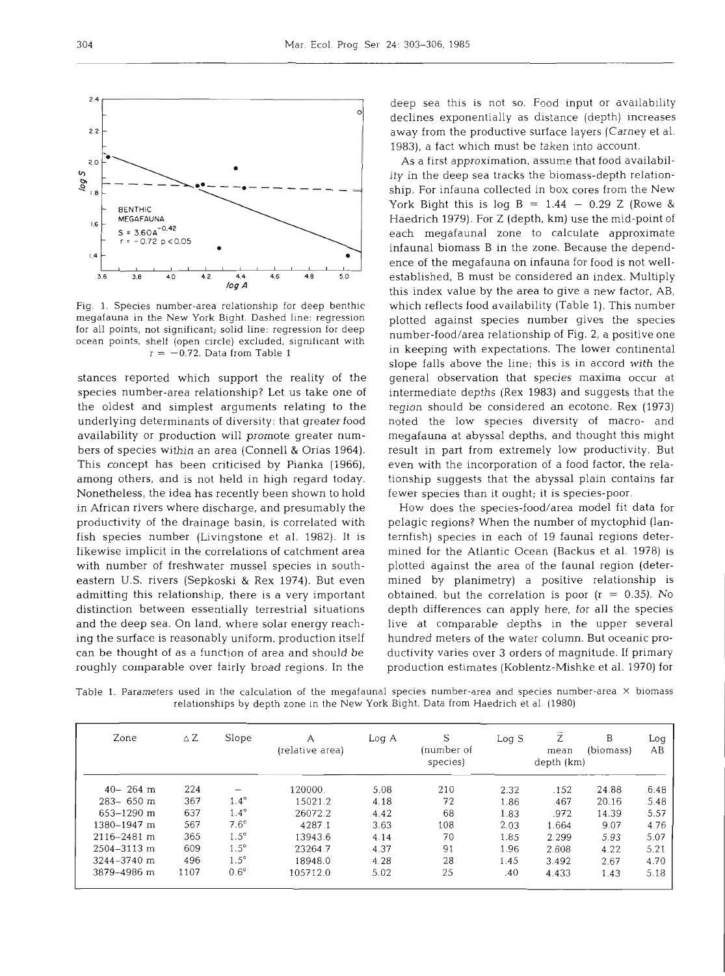

Fig. 1. Species number-area relationship for deep benthic megafauna in the New York Bight. Dashed line: regression for all points, not significant; solid line: regression for deep ocean points, shelf (open circle) excluded, significant with  $r = -0.72$ . Data from Table 1

stances reported which support the reality of the species number-area relationship? Let us take one of the oldest and simplest arguments relating to the underlying determinants of diversity: that greater food availability or production will promote greater numbers of species within an area (Connell & Orias 1964). This concept has been criticised by Pianka (1966), among others, and is not held in high regard today. Nonetheless, the idea has recently been shown to hold in African rivers where discharge, and presumably the productivity of the drainage basin, is correlated with fish species number (Livingstone et al. 1982). It is likewise implicit in the correlations of catchment area with number of freshwater mussel species in southeastern U.S. rivers (Sepkoski & Rex 1974). But even admitting this relationship, there is a very important distinction between essentially terrestrial situations and the deep sea. On land, where solar energy reaching the surface is reasonably uniform, production itself can be thought of as a function of area and should be roughly comparable over fairly broad regions. In the

deep sea this is not so. Food input or availability declines exponentially as distance (depth) increases away from the productive surface layers (Carney et al. 1983), a fact which must be taken into account.

As a first approximation, assume that food availability in the deep sea tracks the biomass-depth relationship. For infauna collected in box cores from the New York Bight this is log B =  $1.44 - 0.29$  Z (Rowe & Haedrich 1979). For Z (depth, km) use the mid-point of each megafaunal zone to calculate approximate infaunal biomass B in the zone. Because the dependence of the megafauna on infauna for food is not wellestablished, B must be considered an index. Multiply this index value by the area to give a new factor, AB, which reflects food availability (Table 1). This number plotted against species number gives the species number-food/area relationship of Fig. 2, a positive one in keeping with expectations. The lower continental slope falls above the line; this is in accord with the general observation that species maxima occur at intermediate depths (Rex 1983) and suggests that the region should be considered an ecotone. Rex (1973) noted the low species diversity of macro- and megafauna at abyssal depths, and thought this might result in part from extremely low productivity. But even with the incorporation of a food factor, the relationship suggests that the abyssal plain contains far fewer species than it ought; it is species-poor.

How does the species-food/area model fit data for pelagic regions? When the number of myctophid (lanternfish) species in each of 19 faunal regions determined for the Atlantic Ocean (Backus et al. 1978) is plotted against the area of the faunal region (determined by planimetry) a positive relationship is obtained, but the correlation is poor  $(r = 0.35)$ . No depth differences can apply here, for all the species live at comparable depths in the upper several hundred meters of the water column. But oceanic productivity varies over 3 orders of magnitude. If primary production estimates (Koblentz-Mishke et al. 1970) for

Table 1. Parameters used in the calculation of the megafaunal species number-area and species number-area **X** biomass relationships by depth zone in the New York Bight. Data from Haedrich et al. (1980)

| Zone            | $\triangle Z$ | Slope       | А<br>(relative area) | Log A | S<br>(number of<br>species) | Log S | Z<br>mean<br>depth (km) | B<br>(biomass) | Log<br>AB |
|-----------------|---------------|-------------|----------------------|-------|-----------------------------|-------|-------------------------|----------------|-----------|
| $40 - 264$ m    | 224           |             | 120000.              | 5.08  | 210                         | 2.32  | .152                    | 24.88          | 6.48      |
| $283 - 650$ m   | 367           | $1.4^\circ$ | 15021.2              | 4.18  | 72                          | 1.86  | .467                    | 20.16          | 5.48      |
| 653-1290 m      | 637           | $1.4^\circ$ | 26072.2              | 4.42  | 68                          | 1.83  | .972                    | 14.39          | 5.57      |
| 1380-1947 m     | 567           | $7.6^\circ$ | 4287.1               | 3.63  | 108                         | 2.03  | 1.664                   | 9.07           | 4.76      |
| $2116 - 2481$ m | 365           | $1.5^\circ$ | 13943.6              | 4.14  | 70                          | 1.85  | 2.299                   | 5.93           | 5.07      |
| 2504-3113 m     | 609           | $1.5^\circ$ | 23264.7              | 4.37  | 91                          | 1.96  | 2.808                   | 4.22           | 5.21      |
| 3244-3740 m     | 496           | $1.5^\circ$ | 18948.0              | 4.28  | 28                          | 1.45  | 3.492                   | 2.67           | 4.70      |
| 3879-4986 m     | 1107          | $0.6^\circ$ | 105712.0             | 5.02  | 25                          | .40   | 4.433                   | 1.43           | 5.18      |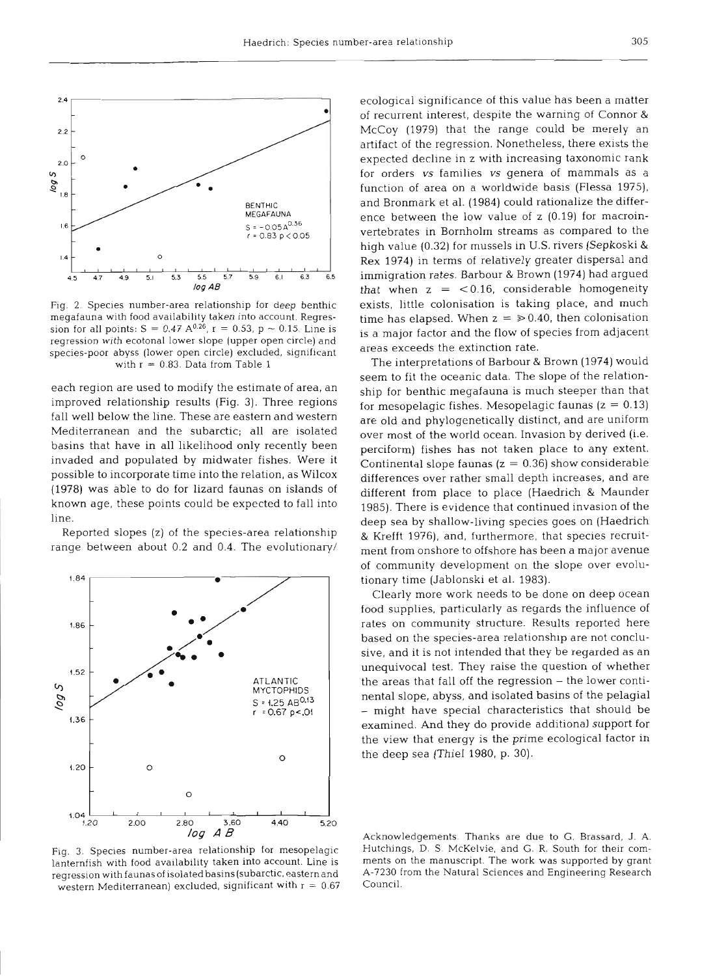

Fig. **2.** Species number-area relationship for deep benthic megafauna with food availability taken into account. Regression for all points:  $S = 0.47 A^{0.26}$ ,  $r = 0.53$ ,  $p \sim 0.15$ . Line is regression with ecotonal lower slope (upper open circle) and species-poor abyss (lower open circle) excluded, significant with  $r = 0.83$ . Data from Table 1

each region are used to modify the estimate of area, an improved relationship results (Fig. 3). Three regions fall well below the line. These are eastern and western Mediterranean and the subarctic; all are isolated basins that have in all likelihood only recently been invaded and populated by midwater fishes. Were it possible to incorporate time into the relation, as Wilcox (1978) was able to do for lizard faunas on islands of known age, these points could be expected to fall into line.

Reported slopes (z) of the species-area relationship range between about 0.2 and 0.4. The evolutionary/



Fig. 3. Species number-area relationship for mesopelagic lanternfish with food availability taken into account. Line is regression with faunas of isolated basins (subarctic, eastern and western Mediterranean) excluded, significant with  $r = 0.67$ 

ecological significance of this value has been a matter of recurrent interest, despite the warning of Connor & McCoy (1979) that the range could be merely an artifact of the regression. Nonetheless, there exists the expected decline in z with increasing taxonomic rank for orders vs families **vs** genera of mammals as a function of area on a worldwide basis (Flessa 1975), and Bronmark et al. (1984) could rationalize the difference between the low value of z (0.19) for macroinvertebrates in Bornholm streams as compared to the high value (0.32) for mussels in U.S. rivers (Sepkoski & Rex 1974) in terms of relatively greater dispersal and immigration rates. Barbour & Brown (1974) had argued that when  $z = < 0.16$ , considerable homogeneity exists, little colonisation is taking place, and much time has elapsed. When  $z = \ge 0.40$ , then colonisation is a major factor and the flow of species from adjacent areas exceeds the extinction rate.

The interpretations of Barbour & Brown (1974) would seem to fit the oceanic data. The slope of the relationship for benthic megafauna is much steeper than that for mesopelagic fishes. Mesopelagic faunas ( $z = 0.13$ ) are old and phylogenetically distinct, and are uniform over most of the world ocean. Invasion by derived (i.e. perciform) fishes has not taken place to any extent. Continental slope faunas ( $z = 0.36$ ) show considerable differences over rather small depth increases, and are different from place to place (Haedrich & Maunder 1985). There is evidence that continued invasion of the deep sea by shallow-living species goes on (Haedrich & Krefft 1976), and, furthermore, that species recruitment from onshore to offshore has been a major avenue of community development on the slope over evolutionary time (Jablonski et al. 1983).

Clearly more work needs to be done on deep ocean food supplies, particularly as regards the influence of rates on community structure. Results reported here based on the species-area relationship are not conclusive, and it is not intended that they be regarded as an unequivocal test. They raise the question of whether the areas that fall off the regression - the lower continental slope, abyss, and isolated basins of the pelagial - might have special characteristics that should be examined. And they do provide additional support for the view that energy is the prime ecological factor in the deep sea (Thiel 1980, p. 30).

Acknowledgements. Thanks are due to G. Brassard. J. A. Hutchings, D. S. McKelvie, and G. R. South for their comments on the manuscript. The work was supported by grant A-7230 from the Natural Sciences and Engineering Research Council.